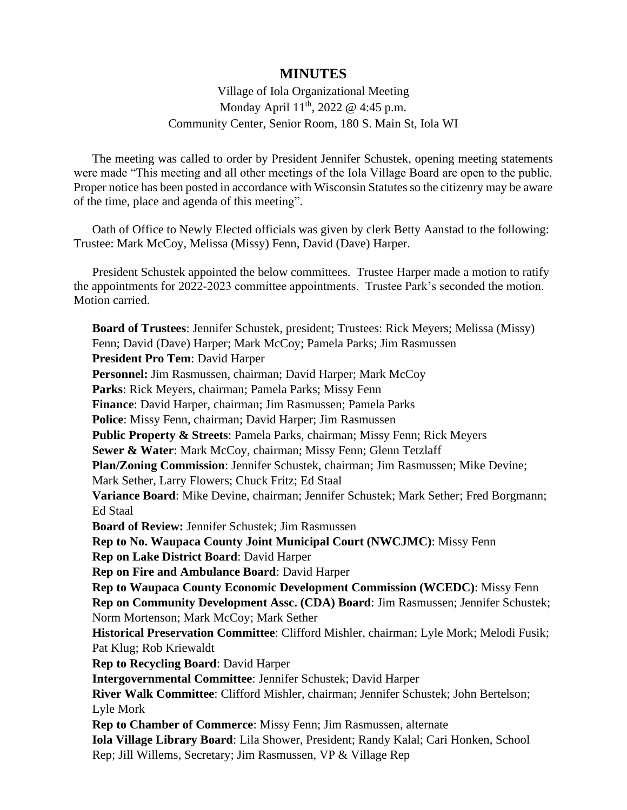## **MINUTES**

## Village of Iola Organizational Meeting Monday April 11<sup>th</sup>, 2022 @ 4:45 p.m. Community Center, Senior Room, 180 S. Main St, Iola WI

The meeting was called to order by President Jennifer Schustek, opening meeting statements were made "This meeting and all other meetings of the Iola Village Board are open to the public. Proper notice has been posted in accordance with Wisconsin Statutes so the citizenry may be aware of the time, place and agenda of this meeting".

Oath of Office to Newly Elected officials was given by clerk Betty Aanstad to the following: Trustee: Mark McCoy, Melissa (Missy) Fenn, David (Dave) Harper.

President Schustek appointed the below committees. Trustee Harper made a motion to ratify the appointments for 2022-2023 committee appointments. Trustee Park's seconded the motion. Motion carried.

**Board of Trustees**: Jennifer Schustek, president; Trustees: Rick Meyers; Melissa (Missy) Fenn; David (Dave) Harper; Mark McCoy; Pamela Parks; Jim Rasmussen **President Pro Tem**: David Harper Personnel: Jim Rasmussen, chairman; David Harper; Mark McCoy **Parks**: Rick Meyers, chairman; Pamela Parks; Missy Fenn **Finance**: David Harper, chairman; Jim Rasmussen; Pamela Parks **Police**: Missy Fenn, chairman; David Harper; Jim Rasmussen **Public Property & Streets**: Pamela Parks, chairman; Missy Fenn; Rick Meyers **Sewer & Water**: Mark McCoy, chairman; Missy Fenn; Glenn Tetzlaff **Plan/Zoning Commission**: Jennifer Schustek, chairman; Jim Rasmussen; Mike Devine; Mark Sether, Larry Flowers; Chuck Fritz; Ed Staal **Variance Board**: Mike Devine, chairman; Jennifer Schustek; Mark Sether; Fred Borgmann; Ed Staal **Board of Review:** Jennifer Schustek; Jim Rasmussen **Rep to No. Waupaca County Joint Municipal Court (NWCJMC)**: Missy Fenn **Rep on Lake District Board**: David Harper **Rep on Fire and Ambulance Board**: David Harper **Rep to Waupaca County Economic Development Commission (WCEDC)**: Missy Fenn **Rep on Community Development Assc. (CDA) Board**: Jim Rasmussen; Jennifer Schustek; Norm Mortenson; Mark McCoy; Mark Sether **Historical Preservation Committee**: Clifford Mishler, chairman; Lyle Mork; Melodi Fusik; Pat Klug; Rob Kriewaldt **Rep to Recycling Board**: David Harper **Intergovernmental Committee**: Jennifer Schustek; David Harper **River Walk Committee**: Clifford Mishler, chairman; Jennifer Schustek; John Bertelson; Lyle Mork **Rep to Chamber of Commerce**: Missy Fenn; Jim Rasmussen, alternate **Iola Village Library Board**: Lila Shower, President; Randy Kalal; Cari Honken, School Rep; Jill Willems, Secretary; Jim Rasmussen, VP & Village Rep